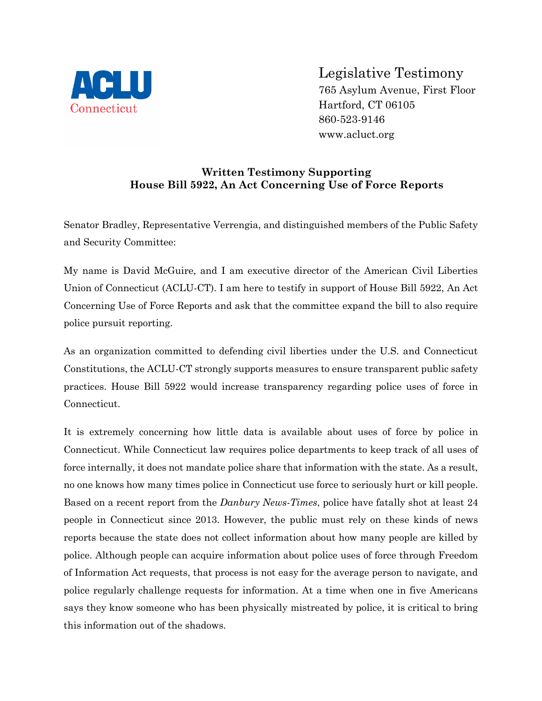

Legislative Testimony

765 Asylum Avenue, First Floor Hartford, CT 06105 860-523-9146 www.acluct.org

## **Written Testimony Supporting House Bill 5922, An Act Concerning Use of Force Reports**

Senator Bradley, Representative Verrengia, and distinguished members of the Public Safety and Security Committee:

My name is David McGuire, and I am executive director of the American Civil Liberties Union of Connecticut (ACLU-CT). I am here to testify in support of House Bill 5922, An Act Concerning Use of Force Reports and ask that the committee expand the bill to also require police pursuit reporting.

As an organization committed to defending civil liberties under the U.S. and Connecticut Constitutions, the ACLU-CT strongly supports measures to ensure transparent public safety practices. House Bill 5922 would increase transparency regarding police uses of force in Connecticut.

It is extremely concerning how little data is available about uses of force by police in Connecticut. While Connecticut law requires police departments to keep track of all uses of force internally, it does not mandate police share that information with the state. As a result, no one knows how many times police in Connecticut use force to seriously hurt or kill people. Based on a recent report from the *Danbury News-Times*, police have fatally shot at least 24 people in Connecticut since 2013. However, the public must rely on these kinds of news reports because the state does not collect information about how many people are killed by police. Although people can acquire information about police uses of force through Freedom of Information Act requests, that process is not easy for the average person to navigate, and police regularly challenge requests for information. At a time when one in five Americans says they know someone who has been physically mistreated by police, it is critical to bring this information out of the shadows.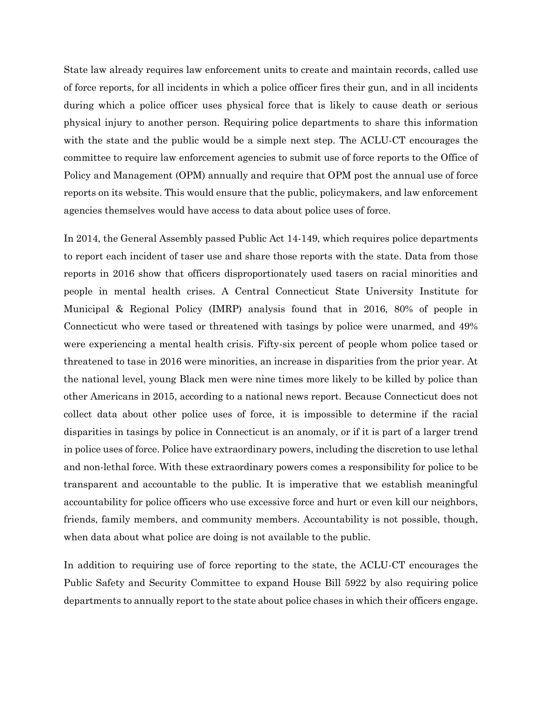State law already requires law enforcement units to create and maintain records, called use of force reports, for all incidents in which a police officer fires their gun, and in all incidents during which a police officer uses physical force that is likely to cause death or serious physical injury to another person. Requiring police departments to share this information with the state and the public would be a simple next step. The ACLU-CT encourages the committee to require law enforcement agencies to submit use of force reports to the Office of Policy and Management (OPM) annually and require that OPM post the annual use of force reports on its website. This would ensure that the public, policymakers, and law enforcement agencies themselves would have access to data about police uses of force.

In 2014, the General Assembly passed Public Act 14-149, which requires police departments to report each incident of taser use and share those reports with the state. Data from those reports in 2016 show that officers disproportionately used tasers on racial minorities and people in mental health crises. A Central Connecticut State University Institute for Municipal & Regional Policy (IMRP) analysis found that in 2016, 80% of people in Connecticut who were tased or threatened with tasings by police were unarmed, and 49% were experiencing a mental health crisis. Fifty-six percent of people whom police tased or threatened to tase in 2016 were minorities, an increase in disparities from the prior year. At the national level, young Black men were nine times more likely to be killed by police than other Americans in 2015, according to a national news report. Because Connecticut does not collect data about other police uses of force, it is impossible to determine if the racial disparities in tasings by police in Connecticut is an anomaly, or if it is part of a larger trend in police uses of force. Police have extraordinary powers, including the discretion to use lethal and non-lethal force. With these extraordinary powers comes a responsibility for police to be transparent and accountable to the public. It is imperative that we establish meaningful accountability for police officers who use excessive force and hurt or even kill our neighbors, friends, family members, and community members. Accountability is not possible, though, when data about what police are doing is not available to the public.

In addition to requiring use of force reporting to the state, the ACLU-CT encourages the Public Safety and Security Committee to expand House Bill 5922 by also requiring police departments to annually report to the state about police chases in which their officers engage.